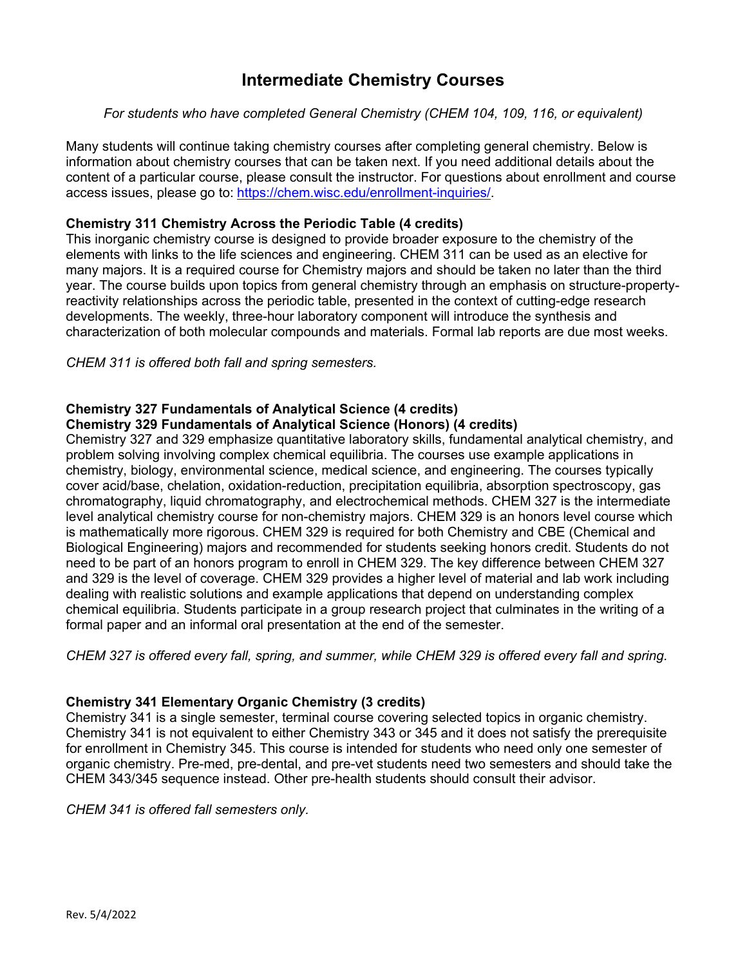## **Intermediate Chemistry Courses**

#### *For students who have completed General Chemistry (CHEM 104, 109, 116, or equivalent)*

Many students will continue taking chemistry courses after completing general chemistry. Below is information about chemistry courses that can be taken next. If you need additional details about the content of a particular course, please consult the instructor. For questions about enrollment and course access issues, please go to: [https://chem.wisc.edu/enrollment-inquiries/.](https://chem.wisc.edu/enrollment-inquiries/)

### **Chemistry 311 Chemistry Across the Periodic Table (4 credits)**

This inorganic chemistry course is designed to provide broader exposure to the chemistry of the elements with links to the life sciences and engineering. CHEM 311 can be used as an elective for many majors. It is a required course for Chemistry majors and should be taken no later than the third year. The course builds upon topics from general chemistry through an emphasis on structure-propertyreactivity relationships across the periodic table, presented in the context of cutting-edge research developments. The weekly, three-hour laboratory component will introduce the synthesis and characterization of both molecular compounds and materials. Formal lab reports are due most weeks.

*CHEM 311 is offered both fall and spring semesters.*

# **Chemistry 327 Fundamentals of Analytical Science (4 credits)**

### **Chemistry 329 Fundamentals of Analytical Science (Honors) (4 credits)**

Chemistry 327 and 329 emphasize quantitative laboratory skills, fundamental analytical chemistry, and problem solving involving complex chemical equilibria. The courses use example applications in chemistry, biology, environmental science, medical science, and engineering. The courses typically cover acid/base, chelation, oxidation-reduction, precipitation equilibria, absorption spectroscopy, gas chromatography, liquid chromatography, and electrochemical methods. CHEM 327 is the intermediate level analytical chemistry course for non-chemistry majors. CHEM 329 is an honors level course which is mathematically more rigorous. CHEM 329 is required for both Chemistry and CBE (Chemical and Biological Engineering) majors and recommended for students seeking honors credit. Students do not need to be part of an honors program to enroll in CHEM 329. The key difference between CHEM 327 and 329 is the level of coverage. CHEM 329 provides a higher level of material and lab work including dealing with realistic solutions and example applications that depend on understanding complex chemical equilibria. Students participate in a group research project that culminates in the writing of a formal paper and an informal oral presentation at the end of the semester.

*CHEM 327 is offered every fall, spring, and summer, while CHEM 329 is offered every fall and spring.*

#### **Chemistry 341 Elementary Organic Chemistry (3 credits)**

Chemistry 341 is a single semester, terminal course covering selected topics in organic chemistry. Chemistry 341 is not equivalent to either Chemistry 343 or 345 and it does not satisfy the prerequisite for enrollment in Chemistry 345. This course is intended for students who need only one semester of organic chemistry. Pre-med, pre-dental, and pre-vet students need two semesters and should take the CHEM 343/345 sequence instead. Other pre-health students should consult their advisor.

*CHEM 341 is offered fall semesters only.*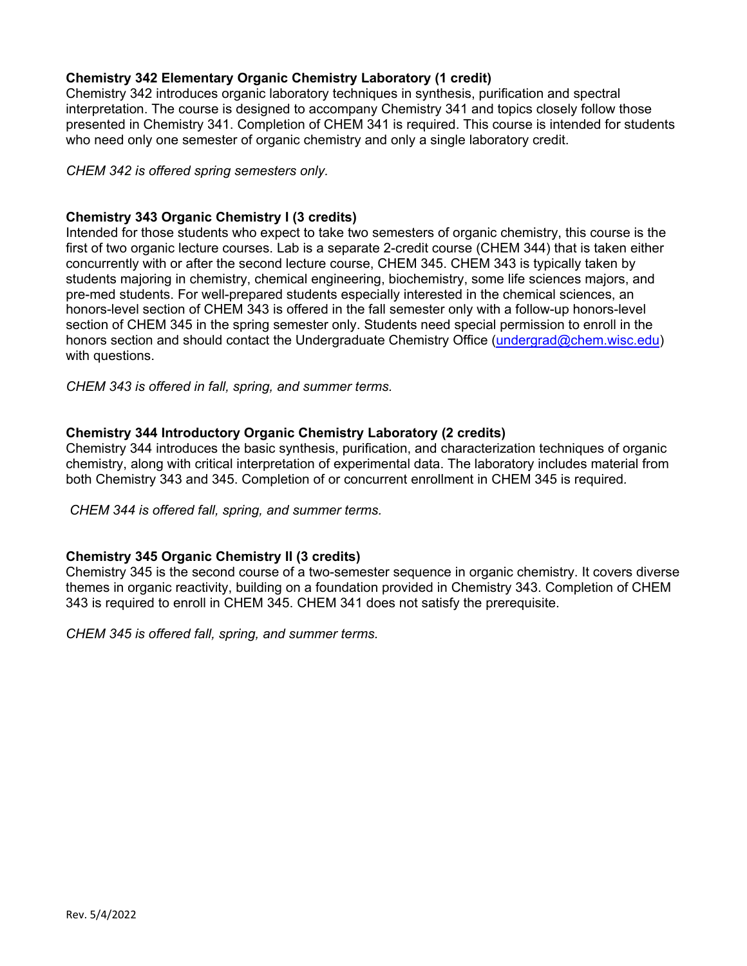#### **Chemistry 342 Elementary Organic Chemistry Laboratory (1 credit)**

Chemistry 342 introduces organic laboratory techniques in synthesis, purification and spectral interpretation. The course is designed to accompany Chemistry 341 and topics closely follow those presented in Chemistry 341. Completion of CHEM 341 is required. This course is intended for students who need only one semester of organic chemistry and only a single laboratory credit.

*CHEM 342 is offered spring semesters only.*

#### **Chemistry 343 Organic Chemistry I (3 credits)**

Intended for those students who expect to take two semesters of organic chemistry, this course is the first of two organic lecture courses. Lab is a separate 2-credit course (CHEM 344) that is taken either concurrently with or after the second lecture course, CHEM 345. CHEM 343 is typically taken by students majoring in chemistry, chemical engineering, biochemistry, some life sciences majors, and pre-med students. For well-prepared students especially interested in the chemical sciences, an honors-level section of CHEM 343 is offered in the fall semester only with a follow-up honors-level section of CHEM 345 in the spring semester only. Students need special permission to enroll in the honors section and should contact the Undergraduate Chemistry Office [\(undergrad@chem.wisc.edu\)](mailto:undergrad@chem.wisc.edu) with questions.

*CHEM 343 is offered in fall, spring, and summer terms.* 

#### **Chemistry 344 Introductory Organic Chemistry Laboratory (2 credits)**

Chemistry 344 introduces the basic synthesis, purification, and characterization techniques of organic chemistry, along with critical interpretation of experimental data. The laboratory includes material from both Chemistry 343 and 345. Completion of or concurrent enrollment in CHEM 345 is required*.*

*CHEM 344 is offered fall, spring, and summer terms.*

#### **Chemistry 345 Organic Chemistry II (3 credits)**

Chemistry 345 is the second course of a two-semester sequence in organic chemistry. It covers diverse themes in organic reactivity, building on a foundation provided in Chemistry 343. Completion of CHEM 343 is required to enroll in CHEM 345. CHEM 341 does not satisfy the prerequisite.

*CHEM 345 is offered fall, spring, and summer terms.*